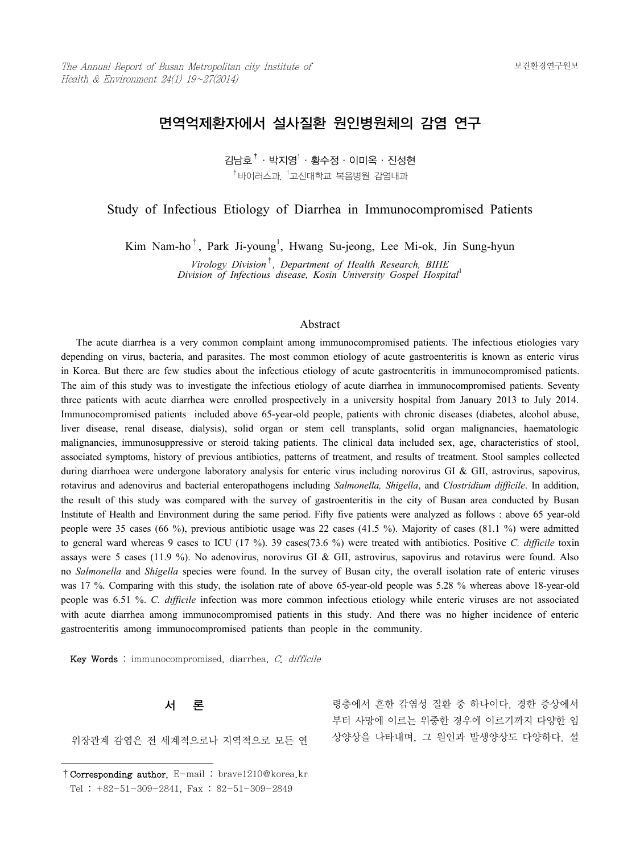# 면역억제환자에서 설사질환 원인병원체의 감염 연구

김남호 $^\dagger$ ㆍ박지영 $^\dagger$ ㆍ황수정ㆍ이미옥ㆍ진성현  $^\dagger$ 바이러스과,  $^{\dagger}$ 고신대학교 복음병원 감염내과

Study of Infectious Etiology of Diarrhea in Immunocompromised Patients

Kim Nam-ho<sup>†</sup>, Park Ji-young<sup>1</sup>, Hwang Su-jeong, Lee Mi-ok, Jin Sung-hyun

*Virology Division*†*, Department of Health Research, BIHE Division of Infectious disease, Kosin University Gospel Hospital*<sup>1</sup>

#### Abstract

 The acute diarrhea is a very common complaint among immunocompromised patients. The infectious etiologies vary depending on virus, bacteria, and parasites. The most common etiology of acute gastroenteritis is known as enteric virus in Korea. But there are few studies about the infectious etiology of acute gastroenteritis in immunocompromised patients. The aim of this study was to investigate the infectious etiology of acute diarrhea in immunocompromised patients. Seventy three patients with acute diarrhea were enrolled prospectively in a university hospital from January 2013 to July 2014. Immunocompromised patients included above 65-year-old people, patients with chronic diseases (diabetes, alcohol abuse, liver disease, renal disease, dialysis), solid organ or stem cell transplants, solid organ malignancies, haematologic malignancies, immunosuppressive or steroid taking patients. The clinical data included sex, age, characteristics of stool, associated symptoms, history of previous antibiotics, patterns of treatment, and results of treatment. Stool samples collected during diarrhoea were undergone laboratory analysis for enteric virus including norovirus GI & GII, astrovirus, sapovirus, rotavirus and adenovirus and bacterial enteropathogens including *Salmonella, Shigella*, and *Clostridium difficile*. In addition, the result of this study was compared with the survey of gastroenteritis in the city of Busan area conducted by Busan Institute of Health and Environment during the same period. Fifty five patients were analyzed as follows : above 65 year-old people were 35 cases (66 %), previous antibiotic usage was 22 cases (41.5 %). Majority of cases (81.1 %) were admitted to general ward whereas 9 cases to ICU (17 %). 39 cases(73.6 %) were treated with antibiotics. Positive *C. difficile* toxin assays were 5 cases (11.9 %). No adenovirus, norovirus GI & GII, astrovirus, sapovirus and rotavirus were found. Also no *Salmonella* and *Shigella* species were found. In the survey of Busan city, the overall isolation rate of enteric viruses was 17 %. Comparing with this study, the isolation rate of above 65-year-old people was 5.28 % whereas above 18-year-old people was 6.51 %. *C. difficile* infection was more common infectious etiology while enteric viruses are not associated with acute diarrhea among immunocompromised patients in this study. And there was no higher incidence of enteric gastroenteritis among immunocompromised patients than people in the community.

Key Words : immunocompromised, diarrhea, C. difficile

### 서 론

위장관계 감염은 전 세계적으로나 지역적으로 모든 연

령층에서 흔한 감염성 질환 중 하나이다. 경한 증상에서 부터 사망에 이르는 위중한 경우에 이르기까지 다양한 임 상양상을 나타내며, 그 원인과 발생양상도 다양하다. 설

<sup>†</sup>Corresponding author. E-mail : brave1210@korea.kr

Tel : +82-51-309-2841, Fax : 82-51-309-2849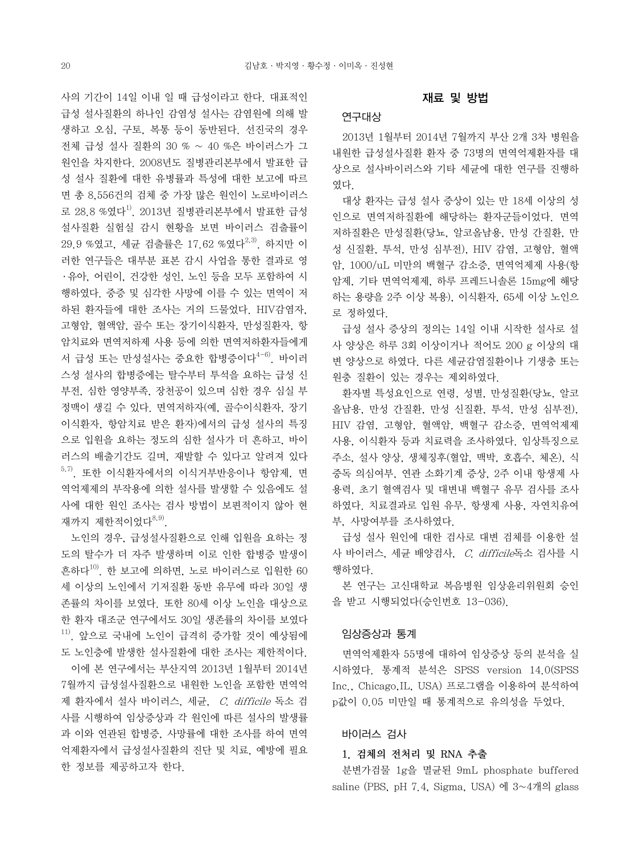사의 기간이 14일 이내 일 때 급성이라고 한다. 대표적인 급성 설사질환의 하나인 감염성 설사는 감염원에 의해 발 생하고 오심, 구토, 복통 등이 동반된다. 선진국의 경우 전체 급성 설사 질환의 30 % ~ 40 %은 바이러스가 그 원인을 차지한다. 2008년도 질병관리본부에서 발표한 급 성 설사 질환에 대한 유병률과 특성에 대한 보고에 따르 면 총 8,556건의 검체 중 가장 많은 원인이 노로바이러스 로 28.8 %였다<sup>1)</sup>. 2013년 질병관리본부에서 발표한 급성 설사질환 실험실 감시 현황을 보면 바이러스 검출률이  $29.9$  %였고, 세규 검출률은 17.62 %였다<sup>2,3)</sup>. 하지만 이 러한 연구들은 대부분 표본 감시 사업을 통한 결과로 영 ․ 유아, 어린이, 건강한 성인, 노인 등을 모두 포함하여 시 행하였다. 중증 및 심각한 사망에 이를 수 있는 면역이 저 하된 환자들에 대한 조사는 거의 드물었다. HIV감염자, 고형암, 혈액암, 골수 또는 장기이식환자, 만성질환자, 항 암치료와 면역저하제 사용 등에 의한 면역저하환자들에게 서 급성 또는 만성설사는 중요한 합병증이다 $^{4-6)}$ . 바이러 스성 설사의 합병증에는 탈수부터 투석을 요하는 급성 신 부전, 심한 영양부족, 장천공이 있으며 심한 경우 심실 부 정맥이 생길 수 있다. 면역저하자(예, 골수이식환자, 장기 이식환자, 항암치료 받은 환자)에서의 급성 설사의 특징 으로 입원을 요하는 정도의 심한 설사가 더 흔하고, 바이 러스의 배출기간도 길며, 재발할 수 있다고 알려져 있다  $^{5,7)}$ . 또한 이식환자에서의 이식거부반응이나 항암제, 면 역억제제의 부작용에 의한 설사를 발생할 수 있음에도 설 사에 대한 원인 조사는 검사 방법이 보편적이지 않아 현 재까지 제한적이었다<sup>8,9)</sup>.

 노인의 경우, 급성설사질환으로 인해 입원을 요하는 정 도의 탈수가 더 자주 발생하며 이로 인한 합병증 발생이 흔하다10). 한 보고에 의하면, 노로 바이러스로 입원한 60 세 이상의 노인에서 기저질환 동반 유무에 따라 30일 생 존률의 차이를 보였다. 또한 80세 이상 노인을 대상으로 한 환자 대조군 연구에서도 30일 생존률의 차이를 보였다 11). 앞으로 국내에 노인이 급격히 증가할 것이 예상됨에 도 노인층에 발생한 설사질환에 대한 조사는 제한적이다.

 이에 본 연구에서는 부산지역 2013년 1월부터 2014년 7월까지 급성설사질환으로 내원한 노인을 포함한 면역억 제 환자에서 설사 바이러스, 세균, C. difficile 독소 검 사를 시행하여 임상증상과 각 원인에 따른 설사의 발생률 과 이와 연관된 합병증, 사망률에 대한 조사를 하여 면역 억제환자에서 급성설사질환의 진단 및 치료, 예방에 필요 한 정보를 제공하고자 한다.

#### 재료 및 방법

# 연구대상

 2013년 1월부터 2014년 7월까지 부산 2개 3차 병원을 내원한 급성설사질환 환자 중 73명의 면역억제환자를 대 상으로 설사바이러스와 기타 세균에 대한 연구를 진행하 였다.

 대상 환자는 급성 설사 증상이 있는 만 18세 이상의 성 인으로 면역저하질환에 해당하는 환자군들이었다. 면역 저하질환은 만성질환(당뇨, 알코올남용, 만성 간질환, 만 성 신질환, 투석, 만성 심부전), HIV 감염, 고형암, 혈액 암, 1000/uL 미만의 백혈구 감소증, 면역억제제 사용(항 암제, 기타 면역억제제, 하루 프레드니솔론 15mg에 해당 하는 용량을 2주 이상 복용), 이식환자, 65세 이상 노인으 로 정하였다.

 급성 설사 증상의 정의는 14일 이내 시작한 설사로 설 사 양상은 하루 3회 이상이거나 적어도 200 g 이상의 대 변 양상으로 하였다. 다른 세균감염질환이나 기생충 또는 원충 질환이 있는 경우는 제외하였다.

 환자별 특성요인으로 연령, 성별, 만성질환(당뇨, 알코 올남용, 만성 간질환, 만성 신질환, 투석, 만성 심부전), HIV 감염, 고형암, 혈액암, 백혈구 감소증, 면역억제제 사용, 이식환자 등과 치료력을 조사하였다. 임상특징으로 주소, 설사 양상, 생체징후(혈압, 맥박, 호흡수, 체온), 식 중독 의심여부, 연관 소화기계 증상, 2주 이내 항생제 사 용력, 초기 혈액검사 및 대변내 백혈구 유무 검사를 조사 하였다. 치료결과로 입원 유무, 항생제 사용, 자연치유여 부, 사망여부를 조사하였다.

 급성 설사 원인에 대한 검사로 대변 검체를 이용한 설 사 바이러스, 세균 배양검사, C. difficile독소 검사를 시 행하였다.

 본 연구는 고신대학교 복음병원 임상윤리위원회 승인 을 받고 시행되었다(승인번호 13-036).

#### 임상증상과 통계

 면역억제환자 55명에 대하여 임상증상 등의 분석을 실 시하였다. 통계적 분석은 SPSS version 14.0(SPSS Inc., Chicago,IL, USA) 프로그램을 이용하여 분석하여 p값이 0.05 미만일 때 통계적으로 유의성을 두었다.

# 바이러스 검사

#### 1. 검체의 전처리 및 RNA 추출

 분변가검물 1g을 멸균된 9mL phosphate buffered saline (PBS, pH 7.4, Sigma, USA) 에 3~4개의 glass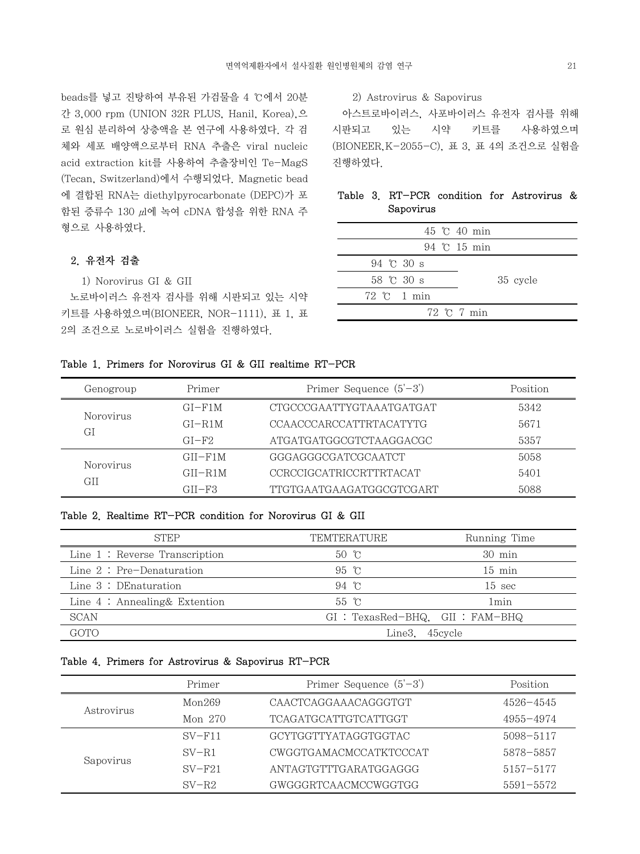beads를 넣고 진탕하여 부유된 가검물을 4 ℃에서 20분 간 3,000 rpm (UNION 32R PLUS, Hanil, Korea),으 로 원심 분리하여 상층액을 본 연구에 사용하였다. 각 검 체와 세포 배양액으로부터 RNA 추출은 viral nucleic acid extraction kit를 사용하여 추출장비인 Te-MagS (Tecan, Switzerland)에서 수행되었다. Magnetic bead 에 결합된 RNA는 diethylpyrocarbonate (DEPC)가 포 함된 증류수 130 μl에 녹여 cDNA 합성을 위한 RNA 주 형으로 사용하였다.

# 2. 유전자 검출

1) Norovirus GI & GII

 노로바이러스 유전자 검사를 위해 시판되고 있는 시약 키트를 사용하였으며(BIONEER, NOR-1111), 표 1, 표 2의 조건으로 노로바이러스 실험을 진행하였다.

### 2) Astrovirus & Sapovirus

 아스트로바이러스, 사포바이러스 유전자 검사를 위해 시판되고 있는 시약 키트를 사용하였으며 (BIONEER,K-2055-C), 표 3, 표 4의 조건으로 실험을 진행하였다.

# Table 3. RT-PCR condition for Astrovirus & Sapovirus

|                               |  | 45 °C 40 min                |          |
|-------------------------------|--|-----------------------------|----------|
|                               |  | 94 °C 15 min                |          |
| 94 $\degree$ C 30 s           |  |                             |          |
| 58 °C 30 s                    |  |                             | 35 cycle |
| $72 \text{ }^{\circ}$ C 1 min |  |                             |          |
|                               |  | $72 \text{ } \degree$ 7 min |          |
|                               |  |                             |          |

## Table 1. Primers for Norovirus GI & GII realtime RT-PCR

| Genogroup       | Primer      | Primer Sequence $(5'-3')$      | Position |
|-----------------|-------------|--------------------------------|----------|
|                 | $GI-F1M$    | CTGCCCGAATTYGTAAATGATGAT       | 5342     |
| Norovirus<br>GI | $GI - R1M$  | CCAACCCARCCATTRTACATYTG        | 5671     |
|                 | $GI-F2$     | ATGATGATGGCGTCTAAGGACGC        | 5357     |
| Norovirus       | $GII-F1M$   | GGGAGGGCGATCGCAATCT            | 5058     |
|                 | $GII - R1M$ | <b>CCRCCIGCATRICCRTTRTACAT</b> | 5401     |
| GH              | $GII-F3$    | TTGTGAATGAAGATGGCGTCGART       | 5088     |

### Table 2. Realtime RT-PCR condition for Norovirus GI & GII

| <b>STEP</b>                      | TEMTERATURE    | Running Time                      |
|----------------------------------|----------------|-----------------------------------|
| Line $1:$ Reverse Transcription  | $50 \text{ C}$ | $30 \text{ min}$                  |
| Line $2: Pre-Denaturation$       | 95 °C          | $15 \text{ min}$                  |
| Line $3:$ DE naturation          | 94 °C          | $15 \text{ sec}$                  |
| Line $4$ : Annealing & Extention | 55 °C          | 1 <sub>min</sub>                  |
| SCAN                             |                | $GI: TexasRed-BHQ$ $GII: FAM-BHQ$ |
| GOTO                             |                | Line3. 45 cycle                   |

#### Table 4. Primers for Astrovirus & Sapovirus RT-PCR

|            | Primer   | Primer Sequence $(5'-3')$   | Position      |
|------------|----------|-----------------------------|---------------|
|            | Mon269   | CAACTCAGGAAACAGGGTGT        | $4526 - 4545$ |
| Astrovirus | Mon 270  | <b>TCAGATGCATTGTCATTGGT</b> | 4955-4974     |
|            | $SV-F11$ | GCYTGGTTYATAGGTGGTAC        | 5098-5117     |
|            | $SV-RI$  | CWGGTGAMACMCCATKTCCCAT      | 5878-5857     |
| Sapovirus  | $SV-F21$ | ANTAGTGTTTGARATGGAGGG       | 5157-5177     |
|            | $SV-R2$  | GWGGGRTCAACMCCWGGTGG        | 5591-5572     |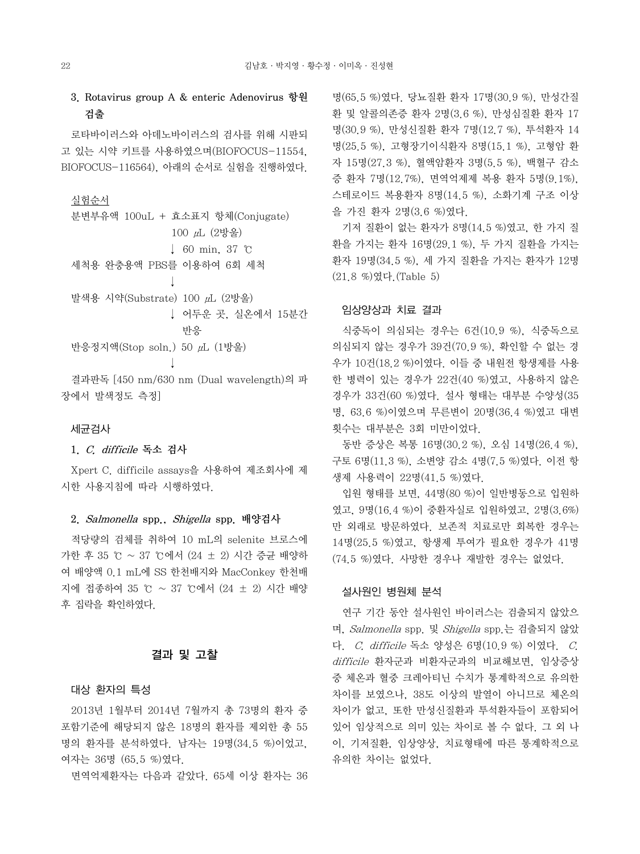3. Rotavirus group A & enteric Adenovirus 항원 검출

 로타바이러스와 아데노바이러스의 검사를 위해 시판되 고 있는 시약 키트를 사용하였으며(BIOFOCUS-11554, BIOFOCUS-116564), 아래의 순서로 실험을 진행하였다.

# 실험순서

| 분변부유액 100uL + 효소표지 항체(Conjugate)         |
|------------------------------------------|
| $100 \mu L$ (2방울)                        |
| $\downarrow$ 60 min, 37 °C               |
| 세척용 완충용액 PBS를 이용하여 6회 세척                 |
|                                          |
| 발색용 시약(Substrate) 100 μL (2방울)           |
| ↓ 어두운 곳. 실온에서 15분간                       |
| 반응                                       |
| 반응정지액(Stop soln.) 50 μL (1방울)            |
|                                          |
| 결과판독 [450 nm/630 nm (Dual wavelength)의 파 |
|                                          |

장에서 발색정도 측정]

#### 세균검사

#### 1. C. difficile 독소 검사

 Xpert C. difficile assays을 사용하여 제조회사에 제 시한 사용지침에 따라 시행하였다.

# 2. Salmonella spp., Shigella spp. 배양검사

 적당량의 검체를 취하여 10 mL의 selenite 브로스에 가한 후 35 ℃ ~ 37 ℃에서 (24 ± 2) 시간 증균 배양하 여 배양액 0.1 mL에 SS 한천배지와 MacConkey 한천배 지에 접종하여 35 ℃ ~ 37 ℃에서 (24 ± 2) 시간 배양 후 집락을 확인하였다.

### 결과 및 고찰

#### 대상 환자의 특성

 2013년 1월부터 2014년 7월까지 총 73명의 환자 중 포함기준에 해당되지 않은 18명의 환자를 제외한 총 55 명의 환자를 분석하였다. 남자는 19명(34.5 %)이었고, 여자는 36명 (65.5 %)였다.

면역억제환자는 다음과 같았다. 65세 이상 환자는 36

명(65.5 %)였다. 당뇨질환 환자 17명(30.9 %), 만성간질 환 및 알콜의존증 환자 2명(3.6 %), 만성심질환 환자 17 명(30.9 %), 만성신질환 환자 7명(12.7 %), 투석환자 14 명(25.5 %), 고형장기이식환자 8명(15.1 %), 고형암 환 자 15명(27.3 %), 혈액암환자 3명(5.5 %), 백혈구 감소 증 환자 7명(12.7%), 면역억제제 복용 환자 5명(9.1%), 스테로이드 복용환자 8명(14.5 %), 소화기계 구조 이상 을 가진 환자 2명(3.6 %)였다.

 기저 질환이 없는 환자가 8명(14.5 %)였고, 한 가지 질 환을 가지는 환자 16명(29.1 %), 두 가지 질환을 가지는 환자 19명(34.5 %), 세 가지 질환을 가지는 환자가 12명 (21.8 %)였다.(Table 5)

### 임상양상과 치료 결과

 식중독이 의심되는 경우는 6건(10.9 %), 식중독으로 의심되지 않는 경우가 39건(70.9 %), 확인할 수 없는 경 우가 10건(18.2 %)이였다. 이들 중 내원전 항생제를 사용 한 병력이 있는 경우가 22건(40 %)였고, 사용하지 않은 경우가 33건(60 %)였다. 설사 형태는 대부분 수양성(35 명, 63.6 %)이였으며 무른변이 20명(36.4 %)였고 대변 횟수는 대부분은 3회 미만이었다.

 동반 증상은 복통 16명(30.2 %), 오심 14명(26.4 %), 구토 6명(11.3 %), 소변양 감소 4명(7.5 %)였다. 이전 항 생제 사용력이 22명(41.5 %)였다.

 입원 형태를 보면, 44명(80 %)이 일반병동으로 입원하 였고, 9명(16.4 %)이 중환자실로 입원하였고, 2명(3.6%) 만 외래로 방문하였다. 보존적 치료로만 회복한 경우는 14명(25.5 %)였고, 항생제 투여가 필요한 경우가 41명 (74.5 %)였다. 사망한 경우나 재발한 경우는 없었다.

#### 설사원인 병원체 분석

 연구 기간 동안 설사원인 바이러스는 검출되지 않았으 며, Salmonella spp. 및 Shigella spp.는 검출되지 않았 다. C. difficile 독소 양성은 6명(10.9 %) 이였다. C. difficile 환자군과 비환자군과의 비교해보면, 임상증상 중 체온과 혈중 크레아티닌 수치가 통계학적으로 유의한 차이를 보였으나, 38도 이상의 발열이 아니므로 체온의 차이가 없고, 또한 만성신질환과 투석환자들이 포함되어 있어 임상적으로 의미 있는 차이로 볼 수 없다. 그 외 나 이, 기저질환, 임상양상, 치료형태에 따른 통계학적으로 유의한 차이는 없었다.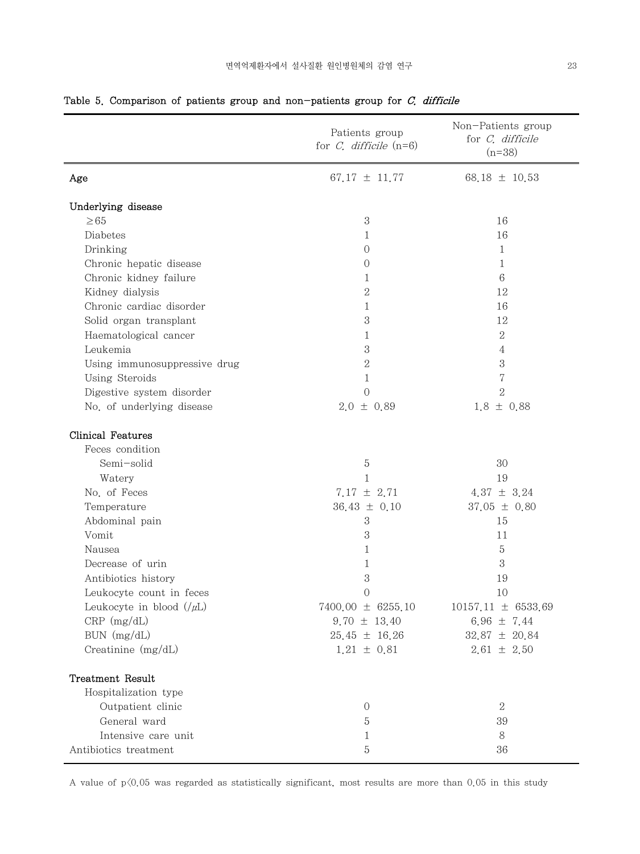|                              | Patients group<br>for $C$ , difficile $(n=6)$ | Non-Patients group<br>for C. difficile<br>$(n=38)$ |
|------------------------------|-----------------------------------------------|----------------------------------------------------|
| Age                          | 67.17 $\pm$ 11.77                             | 68.18 $\pm$ 10.53                                  |
| Underlying disease           |                                               |                                                    |
| $\geq 65$                    | 3                                             | 16                                                 |
| Diabetes                     | 1                                             | 16                                                 |
| Drinking                     | $\overline{O}$                                | $\mathbf{1}$                                       |
| Chronic hepatic disease      | 0                                             | 1                                                  |
| Chronic kidney failure       | 1                                             | $6\phantom{.}6$                                    |
| Kidney dialysis              | $\mathbf{2}$                                  | 12                                                 |
| Chronic cardiac disorder     | $\mathbf{1}$                                  | 16                                                 |
| Solid organ transplant       | 3                                             | 12                                                 |
| Haematological cancer        | 1                                             | $\overline{2}$                                     |
| Leukemia                     | 3                                             | $\overline{4}$                                     |
| Using immunosuppressive drug | $\overline{2}$                                | $\,3$                                              |
| Using Steroids               | $\mathbf{1}$                                  | $\!\!7$                                            |
| Digestive system disorder    | $\overline{0}$                                | $\overline{2}$                                     |
| No. of underlying disease    | $2.0 \pm 0.89$                                | $1.8 \pm 0.88$                                     |
| Clinical Features            |                                               |                                                    |
| Feces condition              |                                               |                                                    |
| Semi-solid                   | $\mathbf 5$                                   | 30                                                 |
| Watery                       | $\mathbf{1}$                                  | 19                                                 |
| No. of Feces                 | $7.17 \pm 2.71$                               | 4.37 $\pm$ 3.24                                    |
| Temperature                  | $36.43 \pm 0.10$                              | $37.05 \pm 0.80$                                   |
| Abdominal pain               | $\boldsymbol{3}$                              | 15                                                 |
| Vomit                        | 3                                             | 11                                                 |
| Nausea                       | 1                                             | 5                                                  |
| Decrease of urin             | 1                                             | 3                                                  |
| Antibiotics history          | 3                                             | 19                                                 |
| Leukocyte count in feces     | $\overline{0}$                                | 10                                                 |
| Leukocyte in blood $(\mu L)$ | $7400,00 \pm 6255,10$                         | $10157.11 \pm 6533.69$                             |
| $CRP$ (mg/dL)                | $9.70 \pm 13.40$                              | 6.96 $\pm$ 7.44                                    |
| BUN (mg/dL)                  | $25.45 \pm 16.26$                             | $32.87 \pm 20.84$                                  |
| Creatinine $(mg/dL)$         | $1.21 \pm 0.81$                               | $2.61 \pm 2.50$                                    |
| Treatment Result             |                                               |                                                    |
| Hospitalization type         |                                               |                                                    |
| Outpatient clinic            | $\boldsymbol{0}$                              | $\sqrt{2}$                                         |
| General ward                 | 5                                             | 39                                                 |
| Intensive care unit          | 1                                             | 8                                                  |
| Antibiotics treatment        | 5                                             | 36                                                 |

# Table 5. Comparison of patients group and non-patients group for  $C$ , difficile

A value of  $p\langle 0.05$  was regarded as statistically significant, most results are more than 0.05 in this study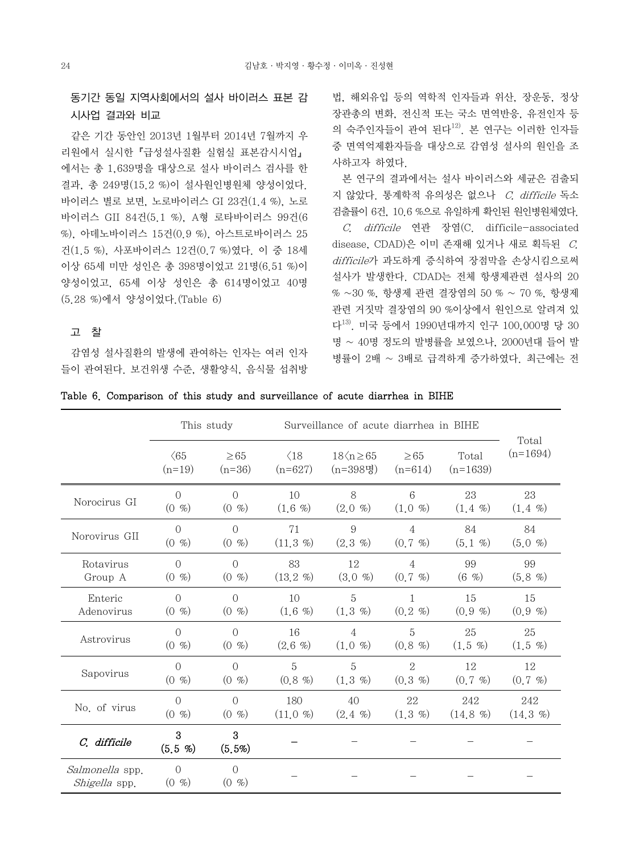# 동기간 동일 지역사회에서의 설사 바이러스 표본 감 시사업 결과와 비교

 같은 기간 동안인 2013년 1월부터 2014년 7월까지 우 리원에서 실시한『급성설사질환 실험실 표본감시시업』 에서는 총 1,639명을 대상으로 설사 바이러스 검사를 한 결과, 총 249명(15.2 %)이 설사원인병원체 양성이었다. 바이러스 별로 보면, 노로바이러스 GI 23건(1.4 %), 노로 바이러스 GII 84건(5.1 %), A형 로타바이러스 99건(6 %), 아데노바이러스 15건(0.9 %), 아스트로바이러스 25 건(1.5 %), 사포바이러스 12건(0.7 %)였다. 이 중 18세 이상 65세 미만 성인은 총 398명이었고 21명(6.51 %)이 양성이었고, 65세 이상 성인은 총 614명이었고 40명 (5.28 %)에서 양성이었다.(Table 6)

# 고 찰

 감염성 설사질환의 발생에 관여하는 인자는 여러 인자 들이 관여된다. 보건위생 수준, 생활양식, 음식물 섭취방

법, 해외유입 등의 역학적 인자들과 위산, 장운동, 정상 장관총의 변화, 전신적 또는 국소 면역반응, 유전인자 등 의 숙주인자들이 관여 된다 $^{12}$ . 본 연구는 이러한 인자들 중 면역억제환자들을 대상으로 감염성 설사의 원인을 조 사하고자 하였다.

 본 연구의 결과에서는 설사 바이러스와 세균은 검출되 지 않았다. 통계학적 유의성은 없으나 C. difficile 독소 검출률이 6건, 10.6 %으로 유일하게 확인된 원인병원체였다.

 C. difficile 연관 장염(C. difficile-associated disease, CDAD)은 이미 존재해 있거나 새로 획득된 C. difficile가 과도하게 증식하여 장점막을 손상시킴으로써 설사가 발생한다. CDAD는 전체 항생제관련 설사의 20 % ~30 %, 항생제 관련 결장염의 50 % ~ 70 %, 항생제 관련 거짓막 결장염의 90 %이상에서 원인으로 알려져 있 다13). 미국 등에서 1990년대까지 인구 100,000명 당 30 명 ~ 40명 정도의 발병률을 보였으나, 2000년대 들어 발 병률이 2배 ~ 3배로 급격하게 증가하였다. 최근에는 전

|  |  |  | Table 6. Comparison of this study and surveillance of acute diarrhea in BIHE |  |  |  |
|--|--|--|------------------------------------------------------------------------------|--|--|--|
|  |  |  |                                                                              |  |  |  |

|                                  | This study<br>Surveillance of acute diarrhea in BIHE |                      |              |                       |                |              |               |
|----------------------------------|------------------------------------------------------|----------------------|--------------|-----------------------|----------------|--------------|---------------|
|                                  | $\langle 65$                                         | $\geq 65$            | $\langle 18$ | $18\langle n \geq 65$ | $\geq 65$      | Total        | Total         |
|                                  | $(n=19)$                                             | $(n=36)$             | $(n=627)$    | $(n=398)$ 명           | $(n=614)$      | $(n=1639)$   | $(n=1694)$    |
| Norocirus GI                     | $\Omega$                                             | $\Omega$             | 10           | 8                     | 6              | 23           | 23            |
|                                  | (0, 9)                                               | (0, 9)               | (1,6,%)      | (2.0, 0)              | (1.0, 0)       | $(1, 4, \%)$ | $(1.4 \%)$    |
| Norovirus GII                    | $\bigcap$                                            | $\bigcap$            | 71           | 9                     | $\overline{4}$ | 84           | 84            |
|                                  | (0, 0)                                               | (0, 9)               | (11.3 %)     | $(2.3 \%)$            | $(0.7 \, \%)$  | $(5.1 \%)$   | $(5.0 \, \%)$ |
| Rotavirus                        | $\Omega$                                             | $\overline{0}$       | 83           | 12                    | $\overline{4}$ | 99           | 99            |
| Group A                          | (0, 9)                                               | (0, 0)               | (13.2 %)     | $(3.0 \%)$            | $(0.7 \, \%)$  | $(6 \, \% )$ | $(5.8 \%)$    |
| Enteric                          | $\bigcap$                                            | $\bigcap$            | 10           | 5                     | $\mathbf{1}$   | 15           | 15            |
| Adenovirus                       | (0, 9)                                               | (0, 9)               | $(1.6 \%)$   | $(1.3 \, \%)$         | $(0.2 \, \%)$  | (0.9, 9)     | (0.9, 9)      |
| Astrovirus                       | $\bigcap$                                            | $\bigcap$            | 16           | $\overline{4}$        | 5              | 25           | 25            |
|                                  | (0, 9)                                               | (0, 9)               | $(2.6 \%)$   | $(1.0 \, \%)$         | (0.8, %)       | $(1.5 \%)$   | $(1.5 \%)$    |
| Sapovirus                        | $\bigcap$                                            | $\overline{0}$       | 5            | $\overline{5}$        | $\overline{2}$ | 12           | 12            |
|                                  | (0, 9)                                               | (0, 9)               | $(0.8, 0\%)$ | (1,3,%)               | (0.3, 0)       | (0.7, 0)     | $(0.7 \, \%)$ |
| No. of virus                     | $\bigcap$                                            | $\bigcap$            | 180          | 40                    | 22             | 242          | 242           |
|                                  | (0, 0)                                               | (0, 0)               | (11.0 %)     | $(2.4 \%)$            | (1,3,%)        | $(14.8\%)$   | $(14.3\%)$    |
| C. difficile                     | 3<br>(5,5, 9)                                        | 3<br>$(5, 5\%)$      |              |                       |                |              |               |
| Salmonella spp.<br>Shigella spp. | $\Omega$<br>(0, 9)                                   | $\sqrt{a}$<br>(0, 9) |              |                       |                |              |               |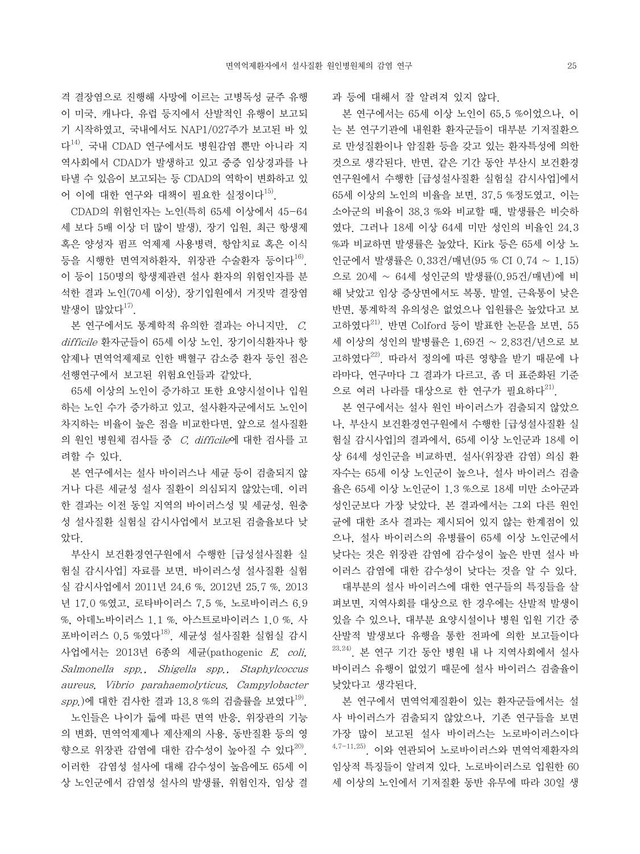격 결장염으로 진행해 사망에 이르는 고병독성 균주 유행 이 미국, 캐나다, 유럽 등지에서 산발적인 유행이 보고되 기 시작하였고, 국내에서도 NAP1/027주가 보고된 바 있 다14). 국내 CDAD 연구에서도 병원감염 뿐만 아니라 지 역사회에서 CDAD가 발생하고 있고 중증 임상경과를 나 타낼 수 있음이 보고되는 등 CDAD의 역학이 변화하고 있 어 이에 대한 연구와 대책이 필요한 실정이다<sup>15)</sup>.

 CDAD의 위험인자는 노인(특히 65세 이상에서 45-64 세 보다 5배 이상 더 많이 발생), 장기 입원, 최근 항생제 혹은 양성자 펌프 억제제 사용병력, 항암치료 혹은 이식 등을 시행한 면역저하환자, 위장관 수술환자 등이다<sup>16)</sup>. 이 등이 150명의 항생제관련 설사 환자의 위험인자를 분 석한 결과 노인(70세 이상), 장기입원에서 거짓막 결장염 발생이 많았다17).

 본 연구에서도 통계학적 유의한 결과는 아니지만, C. difficile 환자군들이 65세 이상 노인, 장기이식환자나 항 암제나 면역억제제로 인한 백혈구 감소증 환자 등인 점은 선행연구에서 보고된 위험요인들과 같았다.

 65세 이상의 노인이 증가하고 또한 요양시설이나 입원 하는 노인 수가 증가하고 있고, 설사환자군에서도 노인이 차지하는 비율이 높은 점을 비교한다면, 앞으로 설사질환 의 원인 병원체 검사들 중 C. difficile에 대한 검사를 고 려할 수 있다.

 본 연구에서는 설사 바이러스나 세균 등이 검출되지 않 거나 다른 세균성 설사 질환이 의심되지 않았는데, 이러 한 결과는 이전 동일 지역의 바이러스성 및 세균성, 원충 성 설사질환 실험실 감시사업에서 보고된 검출율보다 낮 았다.

 부산시 보건환경연구원에서 수행한 [급성설사질환 실 험실 감시사업] 자료를 보면, 바이러스성 설사질환 실험 실 감시사업에서 2011년 24.6 %, 2012년 25.7 %, 2013 년 17.0 %였고, 로타바이러스 7.5 %, 노로바이러스 6.9 %, 아데노바이러스 1.1 %, 아스트로바이러스 1.0 %, 사 포바이러스 0.5 %였다 $^{18}$ . 세균성 설사질환 실험실 감시 사업에서는 2013년 6종의 세균(pathogenic E. coli, Salmonella spp., Shigella spp., Staphylcoccus aureus, Vibrio parahaemolyticus, Campylobacter  $spp$ .)에 대한 검사한 결과 13.8 %의 검출률을 보였다<sup>19)</sup>.

 노인들은 나이가 듦에 따른 면역 반응, 위장관의 기능 의 변화, 면역억제제나 제산제의 사용, 동반질환 등의 영 향으로 위장관 감염에 대한 감수성이 높아질 수 있다<sup>20)</sup>. 이러한 감염성 설사에 대해 감수성이 높음에도 65세 이 상 노인군에서 감염성 설사의 발생률, 위험인자, 임상 결 과 등에 대해서 잘 알려져 있지 않다.

 본 연구에서는 65세 이상 노인이 65.5 %이었으나, 이 는 본 연구기관에 내원환 환자군들이 대부분 기저질환으 로 만성질환이나 암질환 등을 갖고 있는 환자특성에 의한 것으로 생각된다. 반면, 같은 기간 동안 부산시 보건환경 연구원에서 수행한 [급성설사질환 실험실 감시사업]에서 65세 이상의 노인의 비율을 보면, 37.5 %정도였고, 이는 소아군의 비율이 38.3 %와 비교할 때, 발생률은 비슷하 였다. 그러나 18세 이상 64세 미만 성인의 비율인 24.3 %과 비교하면 발생률은 높았다. Kirk 등은 65세 이상 노 인군에서 발생률은 0.33건/매년(95 % CI 0.74 ~ 1.15) 으로 20세 ~ 64세 성인군의 발생률(0.95건/매년)에 비 해 낮았고 임상 증상면에서도 복통, 발열, 근육통이 낮은 반면, 통계학적 유의성은 없었으나 입원률은 높았다고 보 고하였다21). 반면 Colford 등이 발표한 논문을 보면, 55 세 이상의 성인의 발병률은 1.69건 ~ 2.83건/년으로 보 고하였다22). 따라서 정의에 따른 영향을 받기 때문에 나 라마다, 연구마다 그 결과가 다르고, 좀 더 표준화된 기준 으로 여러 나라를 대상으로 한 연구가 필요하다<sup>21)</sup>.

 본 연구에서는 설사 원인 바이러스가 검출되지 않았으 나, 부산시 보건환경연구원에서 수행한 [급성설사질환 실 험실 감시사업]의 결과에서, 65세 이상 노인군과 18세 이 상 64세 성인군을 비교하면, 설사(위장관 감염) 의심 환 자수는 65세 이상 노인군이 높으나, 설사 바이러스 검출 율은 65세 이상 노인군이 1.3 %으로 18세 미만 소아군과 성인군보다 가장 낮았다. 본 결과에서는 그외 다른 원인 균에 대한 조사 결과는 제시되어 있지 않는 한계점이 있 으나, 설사 바이러스의 유병률이 65세 이상 노인군에서 낮다는 것은 위장관 감염에 감수성이 높은 반면 설사 바 이러스 감염에 대한 감수성이 낮다는 것을 알 수 있다.

 대부분의 설사 바이러스에 대한 연구들의 특징들을 살 펴보면, 지역사회를 대상으로 한 경우에는 산발적 발생이 있을 수 있으나, 대부분 요양시설이나 병원 입원 기간 중 산발적 발생보다 유행을 통한 전파에 의한 보고들이다  $23,24$ ). 본 연구 기간 동안 병원 내 나 지역사회에서 설사 바이러스 유행이 없었기 때문에 설사 바이러스 검출율이 낮았다고 생각된다.

 본 연구에서 면역억제질환이 있는 환자군들에서는 설 사 바이러스가 검출되지 않았으나, 기존 연구들을 보면 가장 많이 보고된 설사 바이러스는 노로바이러스이다  $4,7-11,25$ ). 이와 연관되어 노로바이러스와 면역억제환자의 임상적 특징들이 알려져 있다. 노로바이러스로 입원한 60 세 이상의 노인에서 기저질환 동반 유무에 따라 30일 생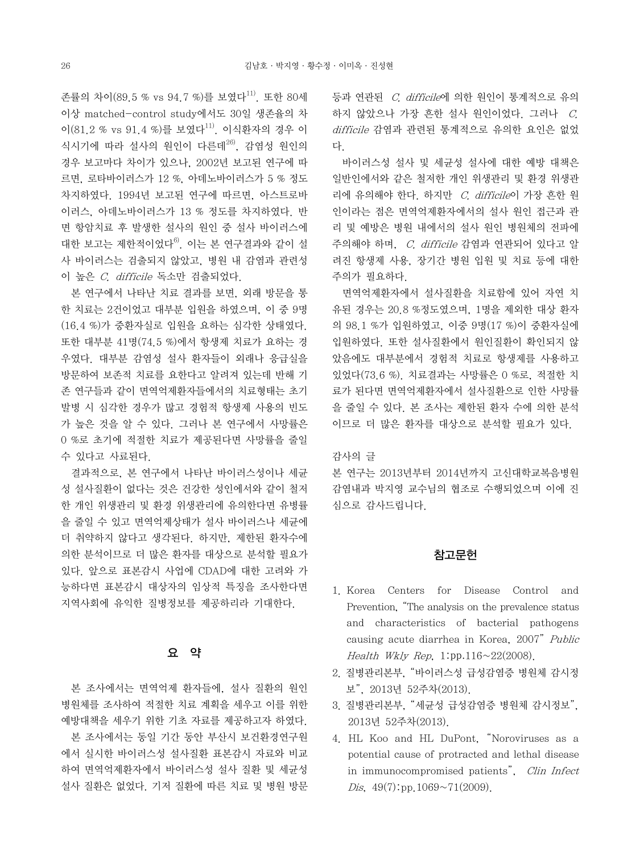존률의 차이(89.5 % vs 94.7 %)를 보였다<sup>11)</sup>. 또한 80세 이상 matched-control study에서도 30일 생존율의 차 이 $(81.2\%$  vs  $91.4\%$ 를 보였다<sup>11)</sup>. 이식화자의 경우 이 식시기에 따라 설사의 원인이 다른데 $^{26}$ , 감염성 원인의 경우 보고마다 차이가 있으나, 2002년 보고된 연구에 따 르면, 로타바이러스가 12 %, 아데노바이러스가 5 % 정도 차지하였다. 1994년 보고된 연구에 따르면, 아스트로바 이러스, 아데노바이러스가 13 % 정도를 차지하였다. 반 면 항암치료 후 발생한 설사의 원인 중 설사 바이러스에 대한 보고는 제한적이었다 $^{6}$ . 이는 본 연구결과와 같이 설 사 바이러스는 검출되지 않았고, 병원 내 감염과 관련성 이 높은 C. difficile 독소만 검출되었다.

 본 연구에서 나타난 치료 결과를 보면, 외래 방문을 통 한 치료는 2건이었고 대부분 입원을 하였으며, 이 중 9명 (16.4 %)가 중환자실로 입원을 요하는 심각한 상태였다. 또한 대부분 41명(74.5 %)에서 항생제 치료가 요하는 경 우였다. 대부분 감염성 설사 환자들이 외래나 응급실을 방문하여 보존적 치료를 요한다고 알려져 있는데 반해 기 존 연구들과 같이 면역억제환자들에서의 치료형태는 초기 발병 시 심각한 경우가 많고 경험적 항생제 사용의 빈도 가 높은 것을 알 수 있다. 그러나 본 연구에서 사망률은 0 %로 초기에 적절한 치료가 제공된다면 사망률을 줄일 수 있다고 사료된다.

 결과적으로, 본 연구에서 나타난 바이러스성이나 세균 성 설사질환이 없다는 것은 건강한 성인에서와 같이 철저 한 개인 위생관리 및 환경 위생관리에 유의한다면 유병률 을 줄일 수 있고 면역억제상태가 설사 바이러스나 세균에 더 취약하지 않다고 생각된다. 하지만, 제한된 환자수에 의한 분석이므로 더 많은 환자를 대상으로 분석할 필요가 있다. 앞으로 표본감시 사업에 CDAD에 대한 고려와 가 능하다면 표본감시 대상자의 임상적 특징을 조사한다면 지역사회에 유익한 질병정보를 제공하리라 기대한다.

# 요 약

 본 조사에서는 면역억제 환자들에, 설사 질환의 원인 병원체를 조사하여 적절한 치료 계획을 세우고 이를 위한 예방대책을 세우기 위한 기초 자료를 제공하고자 하였다. 본 조사에서는 동일 기간 동안 부산시 보건환경연구원 에서 실시한 바이러스성 설사질환 표본감시 자료와 비교 하여 면역억제환자에서 바이러스성 설사 질환 및 세균성 설사 질환은 없었다. 기저 질환에 따른 치료 및 병원 방문 등과 연관된 C. difficile에 의한 원인이 통계적으로 유의 하지 않았으나 가장 흔한 설사 원인이었다. 그러나 C. difficile 감염과 관련된 통계적으로 유의한 요인은 없었 다.

 바이러스성 설사 및 세균성 설사에 대한 예방 대책은 일반인에서와 같은 철저한 개인 위생관리 및 환경 위생관 리에 유의해야 한다. 하지만 C. difficile이 가장 흔한 원 인이라는 점은 면역억제환자에서의 설사 원인 접근과 관 리 및 예방은 병원 내에서의 설사 원인 병원체의 전파에 주의해야 하며, C. difficile 감염과 연관되어 있다고 알 려진 항생제 사용, 장기간 병원 입원 및 치료 등에 대한 주의가 필요하다.

 면역억제환자에서 설사질환을 치료함에 있어 자연 치 유된 경우는 20.8 %정도였으며, 1명을 제외한 대상 환자 의 98.1 %가 입원하였고, 이중 9명(17 %)이 중환자실에 입원하였다. 또한 설사질환에서 원인질환이 확인되지 않 았음에도 대부분에서 경험적 치료로 항생제를 사용하고 있었다(73.6 %). 치료결과는 사망률은 0 %로, 적절한 치 료가 된다면 면역억제환자에서 설사질환으로 인한 사망률 을 줄일 수 있다. 본 조사는 제한된 환자 수에 의한 분석 이므로 더 많은 환자를 대상으로 분석할 필요가 있다.

감사의 글

본 연구는 2013년부터 2014년까지 고신대학교복음병원 감염내과 박지영 교수님의 협조로 수행되었으며 이에 진 심으로 감사드립니다.

#### 참고문헌

- 1. Korea Centers for Disease Control and Prevention, "The analysis on the prevalence status and characteristics of bacterial pathogens causing acute diarrhea in Korea, 2007" Public Health Wkly Rep. 1:pp.116 $\sim$ 22(2008).
- 2. 질병관리본부, "바이러스성 급성감염증 병원체 감시정 보", 2013년 52주차(2013).
- 3. 질병관리본부, "세균성 급성감염증 병원체 감시정보", 2013년 52주차(2013).
- 4. HL Koo and HL DuPont, "Noroviruses as a potential cause of protracted and lethal disease in immunocompromised patients", Clin Infect Dis,  $49(7)$ :pp.1069~71(2009).